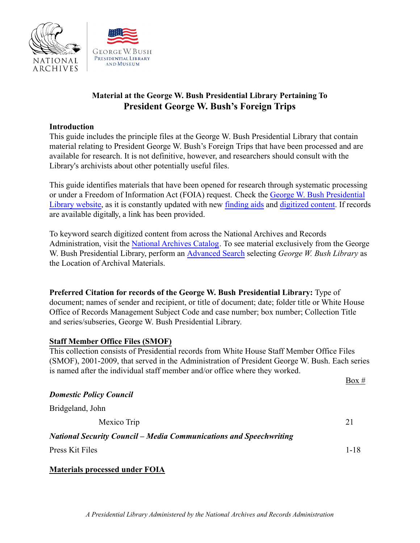

# **Material at the George W. Bush Presidential Library Pertaining To President George W. Bush's Foreign Trips**

#### **Introduction**

This guide includes the principle files at the George W. Bush Presidential Library that contain material relating to President George W. Bush's Foreign Trips that have been processed and are available for research. It is not definitive, however, and researchers should consult with the Library's archivists about other potentially useful files.

This guide identifies materials that have been opened for research through systematic processing or under a Freedom of Information Act (FOIA) request. Check the [George W. Bush Presidential](https://www.georgewbushlibrary.gov/) [Library website,](https://www.georgewbushlibrary.gov/) as it is constantly updated with new [finding aids](https://www.georgewbushlibrary.gov/research/finding-aids) and [digitized content.](https://www.georgewbushlibrary.gov/research/finding-aids) If records are available digitally, a link has been provided.

To keyword search digitized content from across the National Archives and Records Administration, visit the [National Archives Catalog](https://catalog.archives.gov/). To see material exclusively from the George W. Bush Presidential Library, perform an [Advanced](https://catalog.archives.gov/advancedsearch) Search selecting *George W. Bush Library* as the Location of Archival Materials.

**Preferred Citation for records of the George W. Bush Presidential Library:** Type of document; names of sender and recipient, or title of document; date; folder title or White House Office of Records Management Subject Code and case number; box number; Collection Title and series/subseries, George W. Bush Presidential Library.

### **Staff Member Office Files (SMOF)**

This collection consists of Presidential records from White House Staff Member Office Files (SMOF), 2001-2009, that served in the Administration of President George W. Bush. Each series is named after the individual staff member and/or office where they worked.

|                                                                           | Box $#$  |
|---------------------------------------------------------------------------|----------|
| <b>Domestic Policy Council</b>                                            |          |
| Bridgeland, John                                                          |          |
| Mexico Trip                                                               | 21       |
| <b>National Security Council – Media Communications and Speechwriting</b> |          |
| Press Kit Files                                                           | $1 - 18$ |
|                                                                           |          |

**Materials processed under FOIA**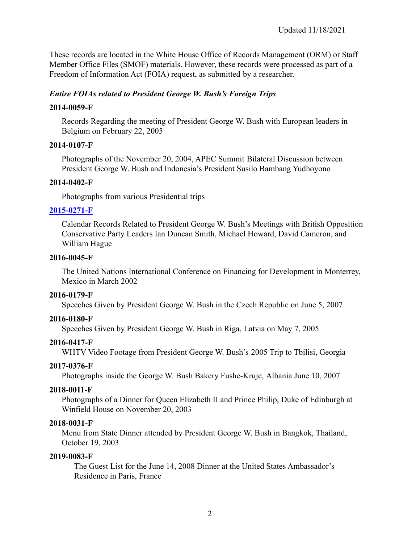These records are located in the White House Office of Records Management (ORM) or Staff Member Office Files (SMOF) materials. However, these records were processed as part of a Freedom of Information Act (FOIA) request, as submitted by a researcher.

### *Entire FOIAs related to President George W. Bush's Foreign Trips*

### **2014-0059-F**

Records Regarding the meeting of President George W. Bush with European leaders in Belgium on February 22, 2005

### **2014-0107-F**

Photographs of the November 20, 2004, APEC Summit Bilateral Discussion between President George W. Bush and Indonesia's President Susilo Bambang Yudhoyono

### **2014-0402-F**

Photographs from various Presidential trips

# **[2015-0271-F](https://www.georgewbushlibrary.gov/research/finding-aids/foia-requests/2015-0271-f-calendar-records-related-president-george-w-bushs-meetings-british-opposition)**

Calendar Records Related to President George W. Bush's Meetings with British Opposition Conservative Party Leaders Ian Duncan Smith, Michael Howard, David Cameron, and William Hague

### **2016-0045-F**

The United Nations International Conference on Financing for Development in Monterrey, Mexico in March 2002

### **2016-0179-F**

Speeches Given by President George W. Bush in the Czech Republic on June 5, 2007

# **2016-0180-F**

Speeches Given by President George W. Bush in Riga, Latvia on May 7, 2005

# **2016-0417-F**

WHTV Video Footage from President George W. Bush's 2005 Trip to Tbilisi, Georgia

### **2017-0376-F**

Photographs inside the George W. Bush Bakery Fushe-Kruje, Albania June 10, 2007

### **2018-0011-F**

Photographs of a Dinner for Queen Elizabeth II and Prince Philip, Duke of Edinburgh at Winfield House on November 20, 2003

### **2018-0031-F**

Menu from State Dinner attended by President George W. Bush in Bangkok, Thailand, October 19, 2003

# **2019-0083-F**

The Guest List for the June 14, 2008 Dinner at the United States Ambassador's Residence in Paris, France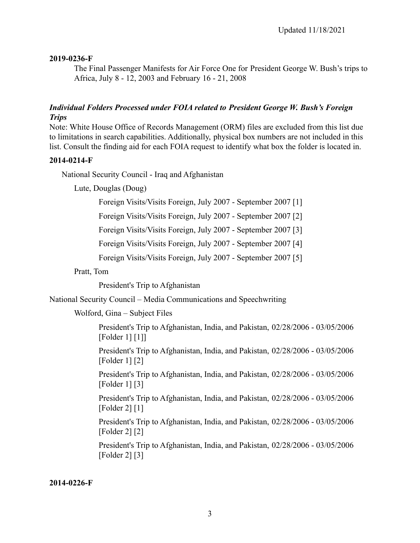### **2019-0236-F**

The Final Passenger Manifests for Air Force One for President George W. Bush's trips to Africa, July 8 - 12, 2003 and February 16 - 21, 2008

### *Individual Folders Processed under FOIA related to President George W. Bush's Foreign Trips*

Note: White House Office of Records Management (ORM) files are excluded from this list due to limitations in search capabilities. Additionally, physical box numbers are not included in this list. Consult the finding aid for each FOIA request to identify what box the folder is located in.

### **2014-0214-F**

National Security Council - Iraq and Afghanistan

Lute, Douglas (Doug)

Foreign Visits/Visits Foreign, July 2007 - September 2007 [1]

Foreign Visits/Visits Foreign, July 2007 - September 2007 [2]

Foreign Visits/Visits Foreign, July 2007 - September 2007 [3]

Foreign Visits/Visits Foreign, July 2007 - September 2007 [4]

Foreign Visits/Visits Foreign, July 2007 - September 2007 [5]

Pratt, Tom

President's Trip to Afghanistan

National Security Council – Media Communications and Speechwriting

Wolford, Gina – Subject Files

President's Trip to Afghanistan, India, and Pakistan, 02/28/2006 - 03/05/2006 [Folder 1] [1]]

President's Trip to Afghanistan, India, and Pakistan, 02/28/2006 - 03/05/2006 [Folder 1] [2]

President's Trip to Afghanistan, India, and Pakistan, 02/28/2006 - 03/05/2006 [Folder 1] [3]

President's Trip to Afghanistan, India, and Pakistan, 02/28/2006 - 03/05/2006 [Folder 2] [1]

President's Trip to Afghanistan, India, and Pakistan, 02/28/2006 - 03/05/2006 [Folder 2] [2]

President's Trip to Afghanistan, India, and Pakistan, 02/28/2006 - 03/05/2006 [Folder 2] [3]

**2014-0226-F**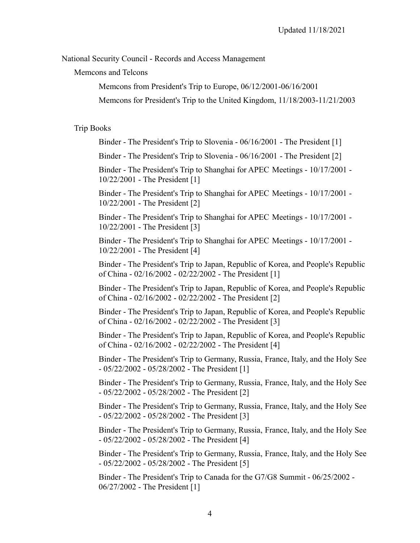National Security Council - Records and Access Management

Memcons and Telcons

Memcons from President's Trip to Europe, 06/12/2001-06/16/2001

Memcons for President's Trip to the United Kingdom, 11/18/2003-11/21/2003

#### Trip Books

Binder - The President's Trip to Slovenia - 06/16/2001 - The President [1]

Binder - The President's Trip to Slovenia - 06/16/2001 - The President [2]

Binder - The President's Trip to Shanghai for APEC Meetings - 10/17/2001 - 10/22/2001 - The President [1]

Binder - The President's Trip to Shanghai for APEC Meetings - 10/17/2001 - 10/22/2001 - The President [2]

Binder - The President's Trip to Shanghai for APEC Meetings - 10/17/2001 - 10/22/2001 - The President [3]

Binder - The President's Trip to Shanghai for APEC Meetings - 10/17/2001 - 10/22/2001 - The President [4]

Binder - The President's Trip to Japan, Republic of Korea, and People's Republic of China - 02/16/2002 - 02/22/2002 - The President [1]

Binder - The President's Trip to Japan, Republic of Korea, and People's Republic of China - 02/16/2002 - 02/22/2002 - The President [2]

Binder - The President's Trip to Japan, Republic of Korea, and People's Republic of China - 02/16/2002 - 02/22/2002 - The President [3]

Binder - The President's Trip to Japan, Republic of Korea, and People's Republic of China - 02/16/2002 - 02/22/2002 - The President [4]

Binder - The President's Trip to Germany, Russia, France, Italy, and the Holy See - 05/22/2002 - 05/28/2002 - The President [1]

Binder - The President's Trip to Germany, Russia, France, Italy, and the Holy See - 05/22/2002 - 05/28/2002 - The President [2]

Binder - The President's Trip to Germany, Russia, France, Italy, and the Holy See - 05/22/2002 - 05/28/2002 - The President [3]

Binder - The President's Trip to Germany, Russia, France, Italy, and the Holy See - 05/22/2002 - 05/28/2002 - The President [4]

Binder - The President's Trip to Germany, Russia, France, Italy, and the Holy See - 05/22/2002 - 05/28/2002 - The President [5]

Binder - The President's Trip to Canada for the G7/G8 Summit - 06/25/2002 - 06/27/2002 - The President [1]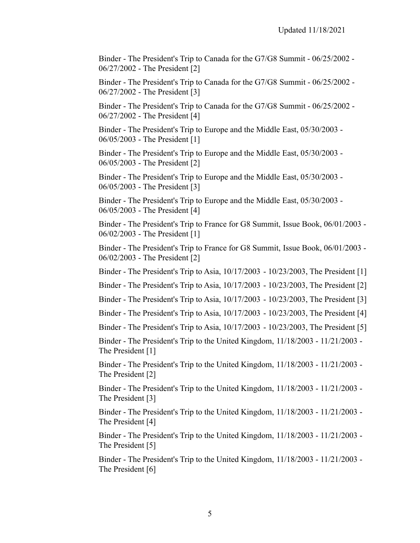Binder - The President's Trip to Canada for the G7/G8 Summit - 06/25/2002 - 06/27/2002 - The President [2]

Binder - The President's Trip to Canada for the G7/G8 Summit - 06/25/2002 - 06/27/2002 - The President [3]

Binder - The President's Trip to Canada for the G7/G8 Summit - 06/25/2002 - 06/27/2002 - The President [4]

Binder - The President's Trip to Europe and the Middle East, 05/30/2003 - 06/05/2003 - The President [1]

Binder - The President's Trip to Europe and the Middle East, 05/30/2003 - 06/05/2003 - The President [2]

Binder - The President's Trip to Europe and the Middle East, 05/30/2003 - 06/05/2003 - The President [3]

Binder - The President's Trip to Europe and the Middle East, 05/30/2003 - 06/05/2003 - The President [4]

Binder - The President's Trip to France for G8 Summit, Issue Book, 06/01/2003 - 06/02/2003 - The President [1]

Binder - The President's Trip to France for G8 Summit, Issue Book, 06/01/2003 - 06/02/2003 - The President [2]

Binder - The President's Trip to Asia, 10/17/2003 - 10/23/2003, The President [1]

Binder - The President's Trip to Asia, 10/17/2003 - 10/23/2003, The President [2]

Binder - The President's Trip to Asia, 10/17/2003 - 10/23/2003, The President [3]

Binder - The President's Trip to Asia, 10/17/2003 - 10/23/2003, The President [4]

Binder - The President's Trip to Asia, 10/17/2003 - 10/23/2003, The President [5]

Binder - The President's Trip to the United Kingdom, 11/18/2003 - 11/21/2003 - The President [1]

Binder - The President's Trip to the United Kingdom, 11/18/2003 - 11/21/2003 - The President [2]

Binder - The President's Trip to the United Kingdom, 11/18/2003 - 11/21/2003 - The President [3]

Binder - The President's Trip to the United Kingdom, 11/18/2003 - 11/21/2003 - The President [4]

Binder - The President's Trip to the United Kingdom, 11/18/2003 - 11/21/2003 - The President [5]

Binder - The President's Trip to the United Kingdom, 11/18/2003 - 11/21/2003 - The President [6]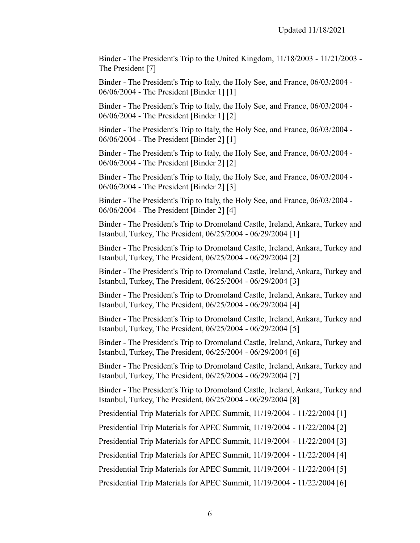Binder - The President's Trip to the United Kingdom, 11/18/2003 - 11/21/2003 - The President [7]

Binder - The President's Trip to Italy, the Holy See, and France, 06/03/2004 - 06/06/2004 - The President [Binder 1] [1]

Binder - The President's Trip to Italy, the Holy See, and France, 06/03/2004 - 06/06/2004 - The President [Binder 1] [2]

Binder - The President's Trip to Italy, the Holy See, and France, 06/03/2004 - 06/06/2004 - The President [Binder 2] [1]

Binder - The President's Trip to Italy, the Holy See, and France, 06/03/2004 - 06/06/2004 - The President [Binder 2] [2]

Binder - The President's Trip to Italy, the Holy See, and France, 06/03/2004 - 06/06/2004 - The President [Binder 2] [3]

Binder - The President's Trip to Italy, the Holy See, and France, 06/03/2004 - 06/06/2004 - The President [Binder 2] [4]

Binder - The President's Trip to Dromoland Castle, Ireland, Ankara, Turkey and Istanbul, Turkey, The President, 06/25/2004 - 06/29/2004 [1]

Binder - The President's Trip to Dromoland Castle, Ireland, Ankara, Turkey and Istanbul, Turkey, The President, 06/25/2004 - 06/29/2004 [2]

Binder - The President's Trip to Dromoland Castle, Ireland, Ankara, Turkey and Istanbul, Turkey, The President, 06/25/2004 - 06/29/2004 [3]

Binder - The President's Trip to Dromoland Castle, Ireland, Ankara, Turkey and Istanbul, Turkey, The President, 06/25/2004 - 06/29/2004 [4]

Binder - The President's Trip to Dromoland Castle, Ireland, Ankara, Turkey and Istanbul, Turkey, The President, 06/25/2004 - 06/29/2004 [5]

Binder - The President's Trip to Dromoland Castle, Ireland, Ankara, Turkey and Istanbul, Turkey, The President, 06/25/2004 - 06/29/2004 [6]

Binder - The President's Trip to Dromoland Castle, Ireland, Ankara, Turkey and Istanbul, Turkey, The President, 06/25/2004 - 06/29/2004 [7]

Binder - The President's Trip to Dromoland Castle, Ireland, Ankara, Turkey and Istanbul, Turkey, The President, 06/25/2004 - 06/29/2004 [8]

Presidential Trip Materials for APEC Summit, 11/19/2004 - 11/22/2004 [1]

Presidential Trip Materials for APEC Summit, 11/19/2004 - 11/22/2004 [2]

Presidential Trip Materials for APEC Summit, 11/19/2004 - 11/22/2004 [3]

Presidential Trip Materials for APEC Summit, 11/19/2004 - 11/22/2004 [4]

Presidential Trip Materials for APEC Summit, 11/19/2004 - 11/22/2004 [5]

Presidential Trip Materials for APEC Summit, 11/19/2004 - 11/22/2004 [6]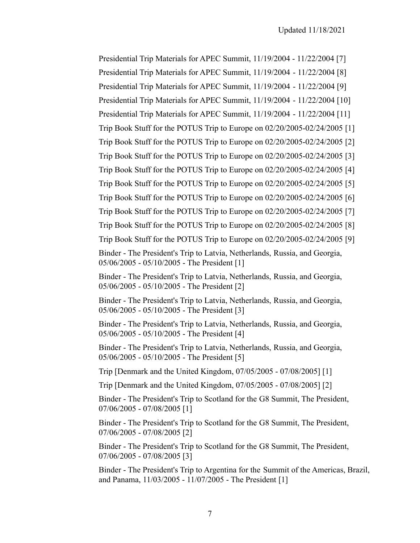Presidential Trip Materials for APEC Summit, 11/19/2004 - 11/22/2004 [7] Presidential Trip Materials for APEC Summit, 11/19/2004 - 11/22/2004 [8] Presidential Trip Materials for APEC Summit, 11/19/2004 - 11/22/2004 [9] Presidential Trip Materials for APEC Summit, 11/19/2004 - 11/22/2004 [10] Presidential Trip Materials for APEC Summit, 11/19/2004 - 11/22/2004 [11] Trip Book Stuff for the POTUS Trip to Europe on 02/20/2005-02/24/2005 [1] Trip Book Stuff for the POTUS Trip to Europe on 02/20/2005-02/24/2005 [2] Trip Book Stuff for the POTUS Trip to Europe on 02/20/2005-02/24/2005 [3] Trip Book Stuff for the POTUS Trip to Europe on 02/20/2005-02/24/2005 [4] Trip Book Stuff for the POTUS Trip to Europe on 02/20/2005-02/24/2005 [5] Trip Book Stuff for the POTUS Trip to Europe on 02/20/2005-02/24/2005 [6] Trip Book Stuff for the POTUS Trip to Europe on 02/20/2005-02/24/2005 [7] Trip Book Stuff for the POTUS Trip to Europe on 02/20/2005-02/24/2005 [8] Trip Book Stuff for the POTUS Trip to Europe on 02/20/2005-02/24/2005 [9] Binder - The President's Trip to Latvia, Netherlands, Russia, and Georgia, 05/06/2005 - 05/10/2005 - The President [1] Binder - The President's Trip to Latvia, Netherlands, Russia, and Georgia, 05/06/2005 - 05/10/2005 - The President [2] Binder - The President's Trip to Latvia, Netherlands, Russia, and Georgia, 05/06/2005 - 05/10/2005 - The President [3] Binder - The President's Trip to Latvia, Netherlands, Russia, and Georgia, 05/06/2005 - 05/10/2005 - The President [4] Binder - The President's Trip to Latvia, Netherlands, Russia, and Georgia, 05/06/2005 - 05/10/2005 - The President [5] Trip [Denmark and the United Kingdom, 07/05/2005 - 07/08/2005] [1] Trip [Denmark and the United Kingdom, 07/05/2005 - 07/08/2005] [2] Binder - The President's Trip to Scotland for the G8 Summit, The President, 07/06/2005 - 07/08/2005 [1]

Binder - The President's Trip to Scotland for the G8 Summit, The President, 07/06/2005 - 07/08/2005 [2]

Binder - The President's Trip to Scotland for the G8 Summit, The President, 07/06/2005 - 07/08/2005 [3]

Binder - The President's Trip to Argentina for the Summit of the Americas, Brazil, and Panama, 11/03/2005 - 11/07/2005 - The President [1]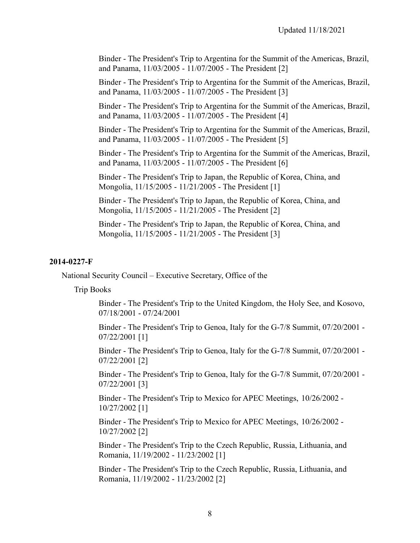Binder - The President's Trip to Argentina for the Summit of the Americas, Brazil, and Panama, 11/03/2005 - 11/07/2005 - The President [2]

Binder - The President's Trip to Argentina for the Summit of the Americas, Brazil, and Panama, 11/03/2005 - 11/07/2005 - The President [3]

Binder - The President's Trip to Argentina for the Summit of the Americas, Brazil, and Panama, 11/03/2005 - 11/07/2005 - The President [4]

Binder - The President's Trip to Argentina for the Summit of the Americas, Brazil, and Panama, 11/03/2005 - 11/07/2005 - The President [5]

Binder - The President's Trip to Argentina for the Summit of the Americas, Brazil, and Panama, 11/03/2005 - 11/07/2005 - The President [6]

Binder - The President's Trip to Japan, the Republic of Korea, China, and Mongolia, 11/15/2005 - 11/21/2005 - The President [1]

Binder - The President's Trip to Japan, the Republic of Korea, China, and Mongolia, 11/15/2005 - 11/21/2005 - The President [2]

Binder - The President's Trip to Japan, the Republic of Korea, China, and Mongolia, 11/15/2005 - 11/21/2005 - The President [3]

#### **2014-0227-F**

National Security Council – Executive Secretary, Office of the

Trip Books

Binder - The President's Trip to the United Kingdom, the Holy See, and Kosovo, 07/18/2001 - 07/24/2001

Binder - The President's Trip to Genoa, Italy for the G-7/8 Summit, 07/20/2001 - 07/22/2001 [1]

Binder - The President's Trip to Genoa, Italy for the G-7/8 Summit, 07/20/2001 - 07/22/2001 [2]

Binder - The President's Trip to Genoa, Italy for the G-7/8 Summit, 07/20/2001 - 07/22/2001 [3]

Binder - The President's Trip to Mexico for APEC Meetings, 10/26/2002 - 10/27/2002 [1]

Binder - The President's Trip to Mexico for APEC Meetings, 10/26/2002 - 10/27/2002 [2]

Binder - The President's Trip to the Czech Republic, Russia, Lithuania, and Romania, 11/19/2002 - 11/23/2002 [1]

Binder - The President's Trip to the Czech Republic, Russia, Lithuania, and Romania, 11/19/2002 - 11/23/2002 [2]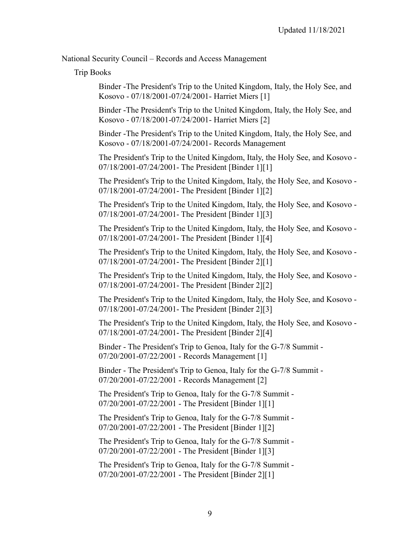National Security Council – Records and Access Management

Trip Books

Binder -The President's Trip to the United Kingdom, Italy, the Holy See, and Kosovo - 07/18/2001-07/24/2001- Harriet Miers [1]

Binder -The President's Trip to the United Kingdom, Italy, the Holy See, and Kosovo - 07/18/2001-07/24/2001- Harriet Miers [2]

Binder -The President's Trip to the United Kingdom, Italy, the Holy See, and Kosovo - 07/18/2001-07/24/2001- Records Management

The President's Trip to the United Kingdom, Italy, the Holy See, and Kosovo - 07/18/2001-07/24/2001- The President [Binder 1][1]

The President's Trip to the United Kingdom, Italy, the Holy See, and Kosovo - 07/18/2001-07/24/2001- The President [Binder 1][2]

The President's Trip to the United Kingdom, Italy, the Holy See, and Kosovo - 07/18/2001-07/24/2001- The President [Binder 1][3]

The President's Trip to the United Kingdom, Italy, the Holy See, and Kosovo - 07/18/2001-07/24/2001- The President [Binder 1][4]

The President's Trip to the United Kingdom, Italy, the Holy See, and Kosovo - 07/18/2001-07/24/2001- The President [Binder 2][1]

The President's Trip to the United Kingdom, Italy, the Holy See, and Kosovo - 07/18/2001-07/24/2001- The President [Binder 2][2]

The President's Trip to the United Kingdom, Italy, the Holy See, and Kosovo - 07/18/2001-07/24/2001- The President [Binder 2][3]

The President's Trip to the United Kingdom, Italy, the Holy See, and Kosovo - 07/18/2001-07/24/2001- The President [Binder 2][4]

Binder - The President's Trip to Genoa, Italy for the G-7/8 Summit - 07/20/2001-07/22/2001 - Records Management [1]

Binder - The President's Trip to Genoa, Italy for the G-7/8 Summit - 07/20/2001-07/22/2001 - Records Management [2]

The President's Trip to Genoa, Italy for the G-7/8 Summit - 07/20/2001-07/22/2001 - The President [Binder 1][1]

The President's Trip to Genoa, Italy for the G-7/8 Summit - 07/20/2001-07/22/2001 - The President [Binder 1][2]

The President's Trip to Genoa, Italy for the G-7/8 Summit - 07/20/2001-07/22/2001 - The President [Binder 1][3]

The President's Trip to Genoa, Italy for the G-7/8 Summit - 07/20/2001-07/22/2001 - The President [Binder 2][1]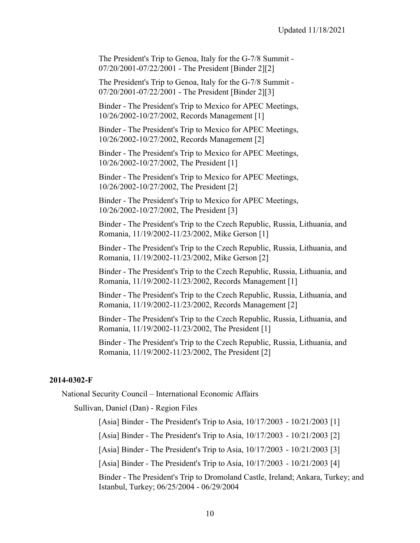The President's Trip to Genoa, Italy for the G-7/8 Summit - 07/20/2001-07/22/2001 - The President [Binder 2][2]

The President's Trip to Genoa, Italy for the G-7/8 Summit - 07/20/2001-07/22/2001 - The President [Binder 2][3]

Binder - The President's Trip to Mexico for APEC Meetings, 10/26/2002-10/27/2002, Records Management [1]

Binder - The President's Trip to Mexico for APEC Meetings, 10/26/2002-10/27/2002, Records Management [2]

Binder - The President's Trip to Mexico for APEC Meetings, 10/26/2002-10/27/2002, The President [1]

Binder - The President's Trip to Mexico for APEC Meetings, 10/26/2002-10/27/2002, The President [2]

Binder - The President's Trip to Mexico for APEC Meetings, 10/26/2002-10/27/2002, The President [3]

Binder - The President's Trip to the Czech Republic, Russia, Lithuania, and Romania, 11/19/2002-11/23/2002, Mike Gerson [1]

Binder - The President's Trip to the Czech Republic, Russia, Lithuania, and Romania, 11/19/2002-11/23/2002, Mike Gerson [2]

Binder - The President's Trip to the Czech Republic, Russia, Lithuania, and Romania, 11/19/2002-11/23/2002, Records Management [1]

Binder - The President's Trip to the Czech Republic, Russia, Lithuania, and Romania, 11/19/2002-11/23/2002, Records Management [2]

Binder - The President's Trip to the Czech Republic, Russia, Lithuania, and Romania, 11/19/2002-11/23/2002, The President [1]

Binder - The President's Trip to the Czech Republic, Russia, Lithuania, and Romania, 11/19/2002-11/23/2002, The President [2]

#### **2014-0302-F**

National Security Council – International Economic Affairs

Sullivan, Daniel (Dan) - Region Files

[Asia] Binder - The President's Trip to Asia, 10/17/2003 - 10/21/2003 [1]

[Asia] Binder - The President's Trip to Asia, 10/17/2003 - 10/21/2003 [2]

[Asia] Binder - The President's Trip to Asia, 10/17/2003 - 10/21/2003 [3]

[Asia] Binder - The President's Trip to Asia, 10/17/2003 - 10/21/2003 [4]

Binder - The President's Trip to Dromoland Castle, Ireland; Ankara, Turkey; and Istanbul, Turkey; 06/25/2004 - 06/29/2004